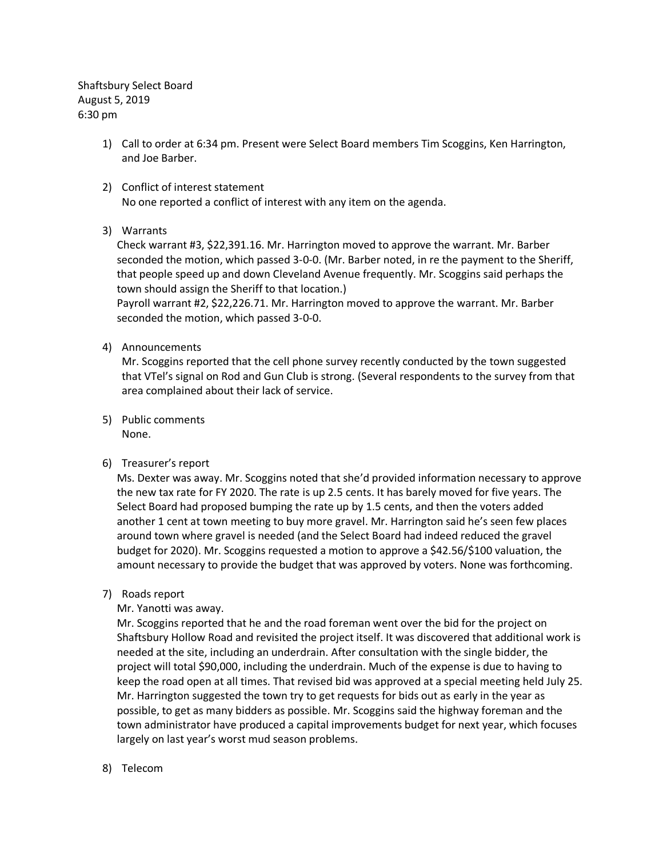Shaftsbury Select Board August 5, 2019 6:30 pm

- 1) Call to order at 6:34 pm. Present were Select Board members Tim Scoggins, Ken Harrington, and Joe Barber.
- 2) Conflict of interest statement No one reported a conflict of interest with any item on the agenda.
- 3) Warrants

Check warrant #3, \$22,391.16. Mr. Harrington moved to approve the warrant. Mr. Barber seconded the motion, which passed 3-0-0. (Mr. Barber noted, in re the payment to the Sheriff, that people speed up and down Cleveland Avenue frequently. Mr. Scoggins said perhaps the town should assign the Sheriff to that location.)

Payroll warrant #2, \$22,226.71. Mr. Harrington moved to approve the warrant. Mr. Barber seconded the motion, which passed 3-0-0.

### 4) Announcements

Mr. Scoggins reported that the cell phone survey recently conducted by the town suggested that VTel's signal on Rod and Gun Club is strong. (Several respondents to the survey from that area complained about their lack of service.

5) Public comments None.

## 6) Treasurer's report

Ms. Dexter was away. Mr. Scoggins noted that she'd provided information necessary to approve the new tax rate for FY 2020. The rate is up 2.5 cents. It has barely moved for five years. The Select Board had proposed bumping the rate up by 1.5 cents, and then the voters added another 1 cent at town meeting to buy more gravel. Mr. Harrington said he's seen few places around town where gravel is needed (and the Select Board had indeed reduced the gravel budget for 2020). Mr. Scoggins requested a motion to approve a \$42.56/\$100 valuation, the amount necessary to provide the budget that was approved by voters. None was forthcoming.

7) Roads report

## Mr. Yanotti was away.

Mr. Scoggins reported that he and the road foreman went over the bid for the project on Shaftsbury Hollow Road and revisited the project itself. It was discovered that additional work is needed at the site, including an underdrain. After consultation with the single bidder, the project will total \$90,000, including the underdrain. Much of the expense is due to having to keep the road open at all times. That revised bid was approved at a special meeting held July 25. Mr. Harrington suggested the town try to get requests for bids out as early in the year as possible, to get as many bidders as possible. Mr. Scoggins said the highway foreman and the town administrator have produced a capital improvements budget for next year, which focuses largely on last year's worst mud season problems.

8) Telecom